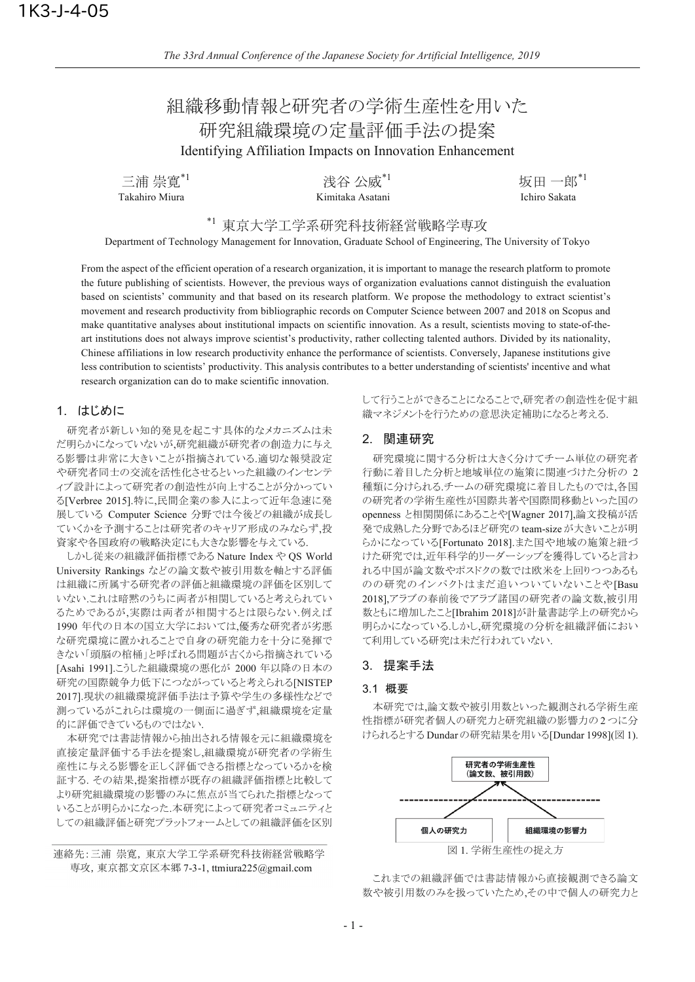# 組織移動情報と研究者の学術生産性を用いた 研究組織環境の定量評価手法の提案 **Identifying Affiliation Impacts on Innovation Enhancement**

三浦 崇寛\*1 Takahiro Miura

浅谷 公威\*<sup>1</sup><br>Kimitaka Asatani

坂田一郎 $1$ Ichiro Sakata

\*1 東京大学工学系研究科技術経営戦略学専攻

Department of Technology Management for Innovation, Graduate School of Engineering, The University of Tokyo

From the aspect of the efficient operation of a research organization, it is important to manage the research platform to promote the future publishing of scientists. However, the previous ways of organization evaluations cannot distinguish the evaluation based on scientists' community and that based on its research platform. We propose the methodology to extract scientist's movement and research productivity from bibliographic records on Computer Science between 2007 and 2018 on Scopus and make quantitative analyses about institutional impacts on scientific innovation. As a result, scientists moving to state-of-theart institutions does not always improve scientist's productivity, rather collecting talented authors. Divided by its nationality, Chinese affiliations in low research productivity enhance the performance of scientists. Conversely, Japanese institutions give less contribution to scientists' productivity. This analysis contributes to a better understanding of scientists' incentive and what research organization can do to make scientific innovation.

# 1. はじめに

研究者が新しい知的発見を起こす具体的なメカニズムは未 だ明らかになっていないが、研究組織が研究者の創造力に与え る影響は非常に大きいことが指摘されている.適切な報奨設定 や研究者同士の交流を活性化させるといった組織のインセンテ ィブ設計によって研究者の創造性が向上することが分かってい る[Verbree 2015].特に,民間企業の参入によって近年急速に発 展している Computer Science 分野では今後どの組織が成長し ていくかを予測することは研究者のキャリア形成のみならず、投 資家や各国政府の戦略決定にも大きな影響を与えている.

しかし従来の組織評価指標である Nature Index や OS World University Rankings などの論文数や被引用数を軸とする評価 は組織に所属する研究者の評価と組織環境の評価を区別して いない、これは暗黙のうちに両者が相関していると考えられてい るためであるが、実際は両者が相関するとは限らない.例えば 1990年代の日本の国立大学においては,優秀な研究者が劣悪 な研究環境に置かれることで自身の研究能力を十分に発揮で きない「頭脳の棺桶」と呼ばれる問題が古くから指摘されている [Asahi 1991].こうした組織環境の悪化が 2000 年以降の日本の 研究の国際競争力低下につながっていると考えられる[NISTEP 2017].現状の組織環境評価手法は予算や学生の多様性などで 測っているがこれらは環境の一側面に過ぎず、組織環境を定量 的に評価できているものではない.

本研究では書誌情報から抽出される情報を元に組織環境を 直接定量評価する手法を提案し、組織環境が研究者の学術生 産性に与える影響を正しく評価できる指標となっているかを検 証する. その結果,提案指標が既存の組織評価指標と比較して より研究組織環境の影響のみに焦点が当てられた指標となって いることが明らかになった.本研究によって研究者コミュニティと しての組織評価と研究プラットフォームとしての組織評価を区別

## 連絡先:三浦 崇寛, 東京大学工学系研究科技術経営戦略学 専攻, 東京都文京区本郷 7-3-1, ttmiura225@gmail.com

して行うことができることになることで、研究者の創造性を促す組 織マネジメントを行うための意思決定補助になると考える.

# 2. 関連研究

研究環境に関する分析は大きく分けてチーム単位の研究者 行動に着目した分析と地域単位の施策に関連づけた分析の 2 種類に分けられる.チームの研究環境に着目したものでは.各国 の研究者の学術生産性が国際共著や国際間移動といった国の openness と相関関係にあることや[Wagner 2017],論文投稿が活 発で成熟した分野であるほど研究の team-size が大きいことが明 らかになっている[Fortunato 2018].また国や地域の施策と紐づ けた研究では、近年科学的リーダーシップを獲得していると言わ れる中国が論文数やポスドクの数では欧米を上回りつつあるも のの研究のインパクトはまだ追いついていないことや[Basu 2018]、アラブの春前後でアラブ諸国の研究者の論文数、被引用 数ともに増加したこと[Ibrahim 2018]が計量書誌学上の研究から 明らかになっている.しかし,研究環境の分析を組織評価におい て利用している研究は未だ行われていない.

## 3. 提案手法

## 3.1 概要

本研究では、論文数や被引用数といった観測される学術生産 性指標が研究者個人の研究力と研究組織の影響力の2つに分 けられるとする Dundar の研究結果を用いる[Dundar 1998](図 1).



これまでの組織評価では書誌情報から直接観測できる論文 数や被引用数のみを扱っていたため、その中で個人の研究力と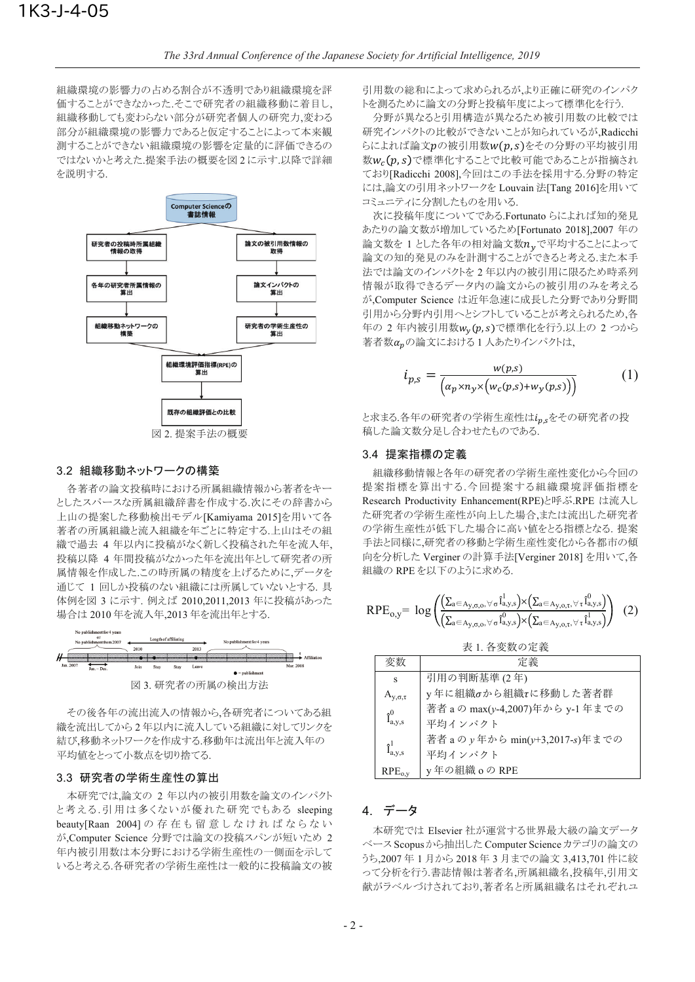組織環境の影響力の占める割合が不透明であり組織環境を評 価することができなかった、そこで研究者の組織移動に着目し、 組織移動しても変わらない部分が研究者個人の研究力、変わる 部分が組織環境の影響力であると仮定することによって本来観 測することができない組織環境の影響を定量的に評価できるの ではないかと考えた.提案手法の概要を図2に示す.以降で詳細 を説明する.



## 3.2 組織移動ネットワークの構築

各著者の論文投稿時における所属組織情報から著者をキー としたスパースな所属組織辞書を作成する.次にその辞書から 上山の提案した移動検出モデル[Kamiyama 2015]を用いて各 著者の所属組織と流入組織を年ごとに特定する。上山はその組 織で過去4年以内に投稿がなく新しく投稿された年を流入年 投稿以降 4 年間投稿がなかった年を流出年として研究者の所 属情報を作成したこの時所属の精度を上げるために、データを 通じて 1 回しか投稿のない組織には所属していないとする 具 体例を図 3 に示す. 例えば 2010,2011,2013 年に投稿があった 場合は2010年を流入年.2013年を流出年とする.



その後各年の流出流入の情報から、各研究者についてある組 織を流出してから2年以内に流入している組織に対してリンクを 結び、移動ネットワークを作成する.移動年は流出年と流入年の 平均値をとって小数点を切り捨てる.

#### 3.3 研究者の学術生産性の算出

本研究では.論文の 2 年以内の被引用数を論文のインパクト と考える.引用は多くないが優れた研究でもある sleeping beauty[Raan 2004]の存在も留意しなければならない が.Computer Science 分野では論文の投稿スパンが短いため 2 年内被引用数は本分野における学術生産性の一側面を示して いると考える.各研究者の学術生産性は一般的に投稿論文の被

引用数の総和によって求められるがより正確に研究のインパク トを測るために論文の分野と投稿年度によって標準化を行う.

分野が異なると引用構造が異なるため被引用数の比較では 研究インパクトの比較ができないことが知られているが,Radicchi らによれば論文pの被引用数w(p,s)をその分野の平均被引用 数w。(p.s)で標準化することで比較可能であることが指摘され ており[Radicchi 2008],今回はこの手法を採用する.分野の特定 には、論文の引用ネットワークを Louvain 法[Tang 2016]を用いて コミュニティに分割したものを用いる.

次に投稿年度についてである.Fortunato らによれば知的発見 あたりの論文数が増加しているため[Fortunato 2018],2007 年の 論文数を 1 とした各年の相対論文数 $n_v$ で平均することによって 論文の知的発見のみを計測することができると考えるまた本手 法では論文のインパクトを2年以内の被引用に限るため時系列 情報が取得できるデータ内の論文からの被引用のみを考える が,Computer Science は近年急速に成長した分野であり分野間 引用から分野内引用へとシフトしていることが考えられるため、各 年の 2 年内被引用数wv(p,s)で標準化を行う.以上の 2 つから 著者数αnの論文における1人あたりインパクトは.

$$
i_{p,s} = \frac{w(p,s)}{\left(a_p \times n_y \times \left(w_c(p,s) + w_y(p,s)\right)\right)}
$$
(1)

と求まる.各年の研究者の学術生産性はi<sub>p.s</sub>をその研究者の投 稿した論文数分足し合わせたものである.

## 3.4 提案指標の定義

組織移動情報と各年の研究者の学術生産性変化から今回の 提案指標を算出する.今回提案する組織環境評価指標を Research Productivity Enhancement(RPE)と呼ぶ.RPE は流入し た研究者の学術生産性が向上した場合、または流出した研究者 の学術生産性が低下した場合に高い値をとる指標となる. 提案 手法と同様に、研究者の移動と学術生産性変化から各都市の傾 向を分析した Verginer の計算手法[Verginer 2018] を用いて各 組織の RPE を以下のように求める.

$$
RPE_{o,y} = \text{ log} \left( \frac{ \left( \sum_{a \in A_{y,\sigma,o}, \forall \, \sigma} \hat{I}_{a,y,s}^{l} \right) \times \left( \sum_{a \in A_{y,o,\tau}, \forall \, \tau} \hat{I}_{a,y,s}^{0} \right) }{\left( \sum_{a \in A_{y,\sigma,o}, \forall \, \sigma} \hat{I}_{a,y,s}^{0} \right) \times \left( \sum_{a \in A_{y,o,\tau}, \forall \, \tau} \hat{I}_{a,y,s}^{l} \right) } \right) \tag{2}
$$

表 1. 各変数の定義

| 変数                  | 定義                               |
|---------------------|----------------------------------|
| S                   | 引用の判断基準 (2年)                     |
| $A_{V,\sigma,\tau}$ | y年に組織σから組織τに移動した著者群              |
|                     | 著者 aの max(y-4,2007)年から y-1 年までの  |
| $\hat{I}^0_{a,y,s}$ | 平均インパクト                          |
|                     | 著者 a の y 年から min(y+3,2017-s)年までの |
| $\hat{I}^1_{a,y,s}$ | 平均インパクト                          |
| $RPE_{o,y}$         | y年の組織 oの RPE                     |

# 4. データ

本研究では Elsevier 社が運営する世界最大級の論文データ ベース Scopus から抽出した Computer Science カテゴリの論文の うち,2007年1月から2018年3月までの論文 3,413,701件に絞 って分析を行う.書誌情報は著者名,所属組織名,投稿年,引用文 献がラベルづけされており、著者名と所属組織名はそれぞれユ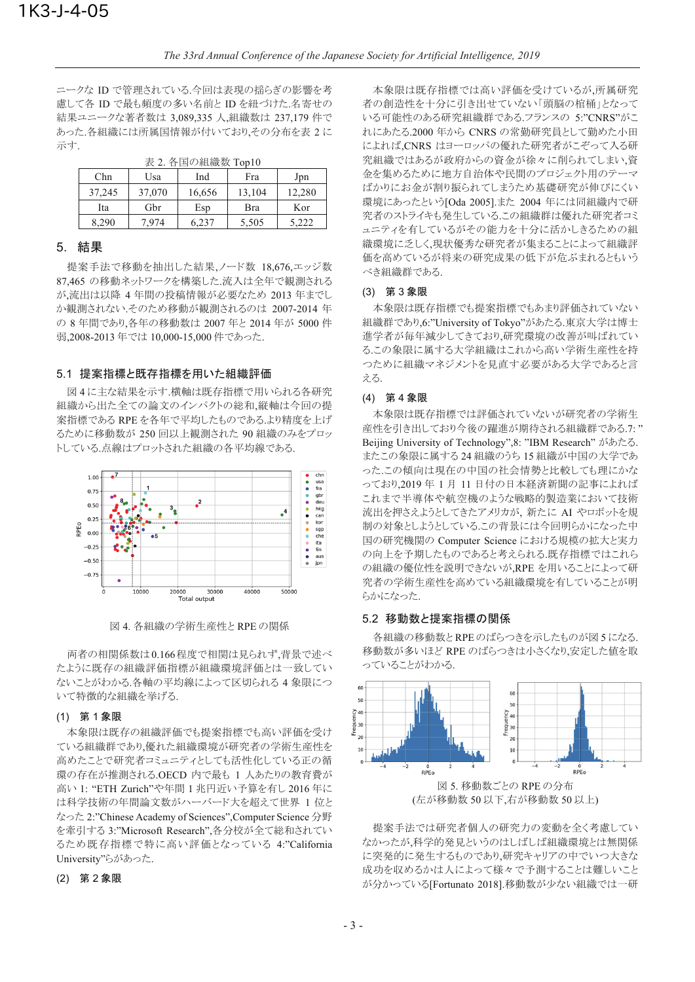ニークな ID で管理されている.今回は表現の揺らぎの影響を考 慮して各 ID で最も頻度の多い名前と ID を紐づけた.名寄せの 結果ユニークな著者数は 3,089,335 人,組織数は 237,179 件で あった.各組織には所属国情報が付いており、その分布を表 2に 示す.

| Chn    | Usa    | Ind    | Fra    | Jpn    |  |  |
|--------|--------|--------|--------|--------|--|--|
| 37,245 | 37,070 | 16,656 | 13,104 | 12,280 |  |  |
| Ita    | Gbr    | Esp    | Bra    | Kor    |  |  |
| 8,290  | 7.974  | 6.237  | 5,505  | 5,222  |  |  |

表 2 各国の組織数 Top10

## 5. 結果

提案手法で移動を抽出した結果、ノード数 18,676,エッジ数 87,465 の移動ネットワークを構築した.流入は全年で観測される が,流出は以降4年間の投稿情報が必要なため 2013年までし か観測されない.そのため移動が観測されるのは 2007-2014 年 の 8 年間であり、各年の移動数は 2007 年と 2014 年が 5000 件 弱,2008-2013年では 10,000-15,000件であった.

## 5.1 提案指標と既存指標を用いた組織評価

図4に主な結果を示す.横軸は既存指標で用いられる各研究 組織から出た全ての論文のインパクトの総和、縦軸は今回の提 案指標である RPE を各年で平均したものである.より精度を上げ るために移動数が 250 回以上観測された 90 組織のみをプロッ トしている.点線はプロットされた組織の各平均線である.



図 4. 各組織の学術生産性とRPE の関係

両者の相関係数は0.166程度で相関は見られず、背景で述べ たように既存の組織評価指標が組織環境評価とは一致してい ないことがわかる.各軸の平均線によって区切られる4象限につ いて特徴的な組織を挙げる.

## (1) 第1象限

本象限は既存の組織評価でも提案指標でも高い評価を受け ている組織群であり、優れた組織環境が研究者の学術生産性を 高めたことで研究者コミュニティとしても活性化している正の循 環の存在が推測される.OECD 内で最も 1 人あたりの教育費が 高い 1: "ETH Zurich"や年間 1 兆円近い予算を有し 2016 年に は科学技術の年間論文数がハーバード大を超えて世界 1 位と なった 2:"Chinese Academy of Sciences",Computer Science 分野 を牽引する 3:"Microsoft Research",各分校が全て総和されてい るため既存指標で特に高い評価となっている 4:"California University"らがあった.

## (2) 第2象限

本象限は既存指標では高い評価を受けているが、所属研究 者の創造性を十分に引き出せていない「頭脳の棺桶」となって いる可能性のある研究組織群である.フランスの 5:"CNRS"がこ れにあたる.2000 年から CNRS の常勤研究員として勤めた小田 によれば、CNRS はヨーロッパの優れた研究者がこぞって入る研 究組織ではあるが政府からの資金が徐々に削られてしまい、資 金を集めるために地方自治体や民間のプロジェクト用のテーマ ばかりにお金が割り振られてしまうため基礎研究が伸びにくい 環境にあったという[Oda 2005].また 2004 年には同組織内で研 究者のストライキも発生しているこの組織群は優れた研究者コミ ュニティを有しているがその能力を十分に活かしきるための組 織環境に乏しく,現状優秀な研究者が集まることによって組織評 価を高めているが将来の研究成果の低下が危ぶまれるともいう べき組織群である.

#### (3) 第3象限

本象限は既存指標でも提案指標でもあまり評価されていない 組織群であり,6:"University of Tokyo"があたる.東京大学は博士 進学者が毎年減少してきており、研究環境の改善が叫ばれてい るこの象限に属する大学組織はこれから高い学術生産性を持 つために組織マネジメントを見直す必要がある大学であると言  $\overline{z}$ .

#### (4) 第4象限

本象限は既存指標では評価されていないが研究者の学術生 産性を引き出しており今後の躍進が期待される組織群である.7: " Beijing University of Technology", 8: "IBM Research" があたる。 またこの象限に属する24 組織のうち 15 組織が中国の大学であ った.この傾向は現在の中国の社会情勢と比較しても理にかな っており、2019年1月11日付の日本経済新聞の記事によれば これまで半導体や航空機のような戦略的製造業において技術 流出を押さえようとしてきたアメリカが、新たに AI やロボットを規 制の対象としようとしている.この背景には今回明らかになった中 国の研究機関の Computer Science における規模の拡大と実力 の向上を予期したものであると考えられる.既存指標ではこれら の組織の優位性を説明できないが.RPE を用いることによって研 究者の学術生産性を高めている組織環境を有していることが明 らかになった

## 5.2 移動数と提案指標の関係

各組織の移動数とRPE のばらつきを示したものが図5になる. 移動数が多いほど RPE のばらつきは小さくなり、安定した値を取 っていることがわかる.



提案手法では研究者個人の研究力の変動を全く考慮してい なかったが、科学的発見というのはしばしば組織環境とは無関係 に突発的に発生するものであり、研究キャリアの中でいつ大きな 成功を収めるかは人によって様々で予測することは難しいこと が分かっている[Fortunato 2018].移動数が少ない組織では一研